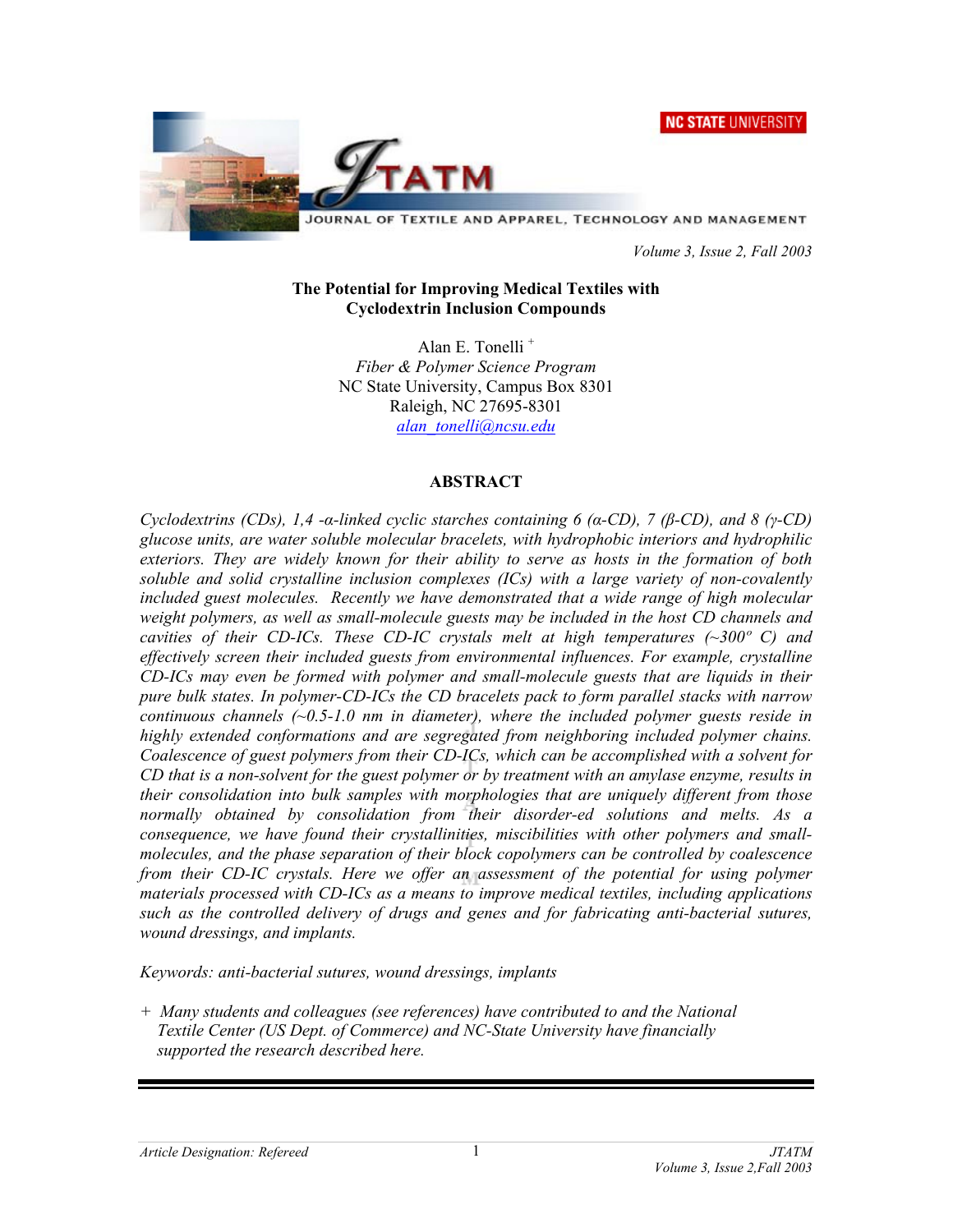**NC STATE UNIVERSITY** 



JOURNAL OF TEXTILE AND APPAREL, TECHNOLOGY AND MANAGEMENT

 *Volume 3, Issue 2, Fall 2003* 

### **The Potential for Improving Medical Textiles with Cyclodextrin Inclusion Compounds**

Alan E. Tonelli + *Fiber & Polymer Science Program*  NC State University, Campus Box 8301 Raleigh, NC 27695-8301 *alan\_tonelli@ncsu.edu*

## **ABSTRACT**

*Cyclodextrins (CDs), 1,4 -α-linked cyclic starches containing 6 (α-CD), 7 (β-CD), and 8 (γ-CD) glucose units, are water soluble molecular bracelets, with hydrophobic interiors and hydrophilic exteriors. They are widely known for their ability to serve as hosts in the formation of both soluble and solid crystalline inclusion complexes (ICs) with a large variety of non-covalently*  included guest molecules. Recently we have demonstrated that a wide range of high molecular *weight polymers, as well as small-molecule guests may be included in the host CD channels and cavities of their CD-ICs. These CD-IC crystals melt at high temperatures (~300º C) and effectively screen their included guests from environmental influences. For example, crystalline CD-ICs may even be formed with polymer and small-molecule guests that are liquids in their pure bulk states. In polymer-CD-ICs the CD bracelets pack to form parallel stacks with narrow continuous channels (~0.5-1.0 nm in diameter), where the included polymer guests reside in highly extended conformations and are segregated from neighboring included polymer chains. Coalescence of guest polymers from their CD-ICs, which can be accomplished with a solvent for CD that is a non-solvent for the guest polymer or by treatment with an amylase enzyme, results in their consolidation into bulk samples with morphologies that are uniquely different from those normally obtained by consolidation from their disorder-ed solutions and melts. As a consequence, we have found their crystallinities, miscibilities with other polymers and smallmolecules, and the phase separation of their block copolymers can be controlled by coalescence from their CD-IC crystals. Here we offer an assessment of the potential for using polymer materials processed with CD-ICs as a means to improve medical textiles, including applications such as the controlled delivery of drugs and genes and for fabricating anti-bacterial sutures, wound dressings, and implants.* 

*Keywords: anti-bacterial sutures, wound dressings, implants* 

*+ Many students and colleagues (see references) have contributed to and the National Textile Center (US Dept. of Commerce) and NC-State University have financially supported the research described here.*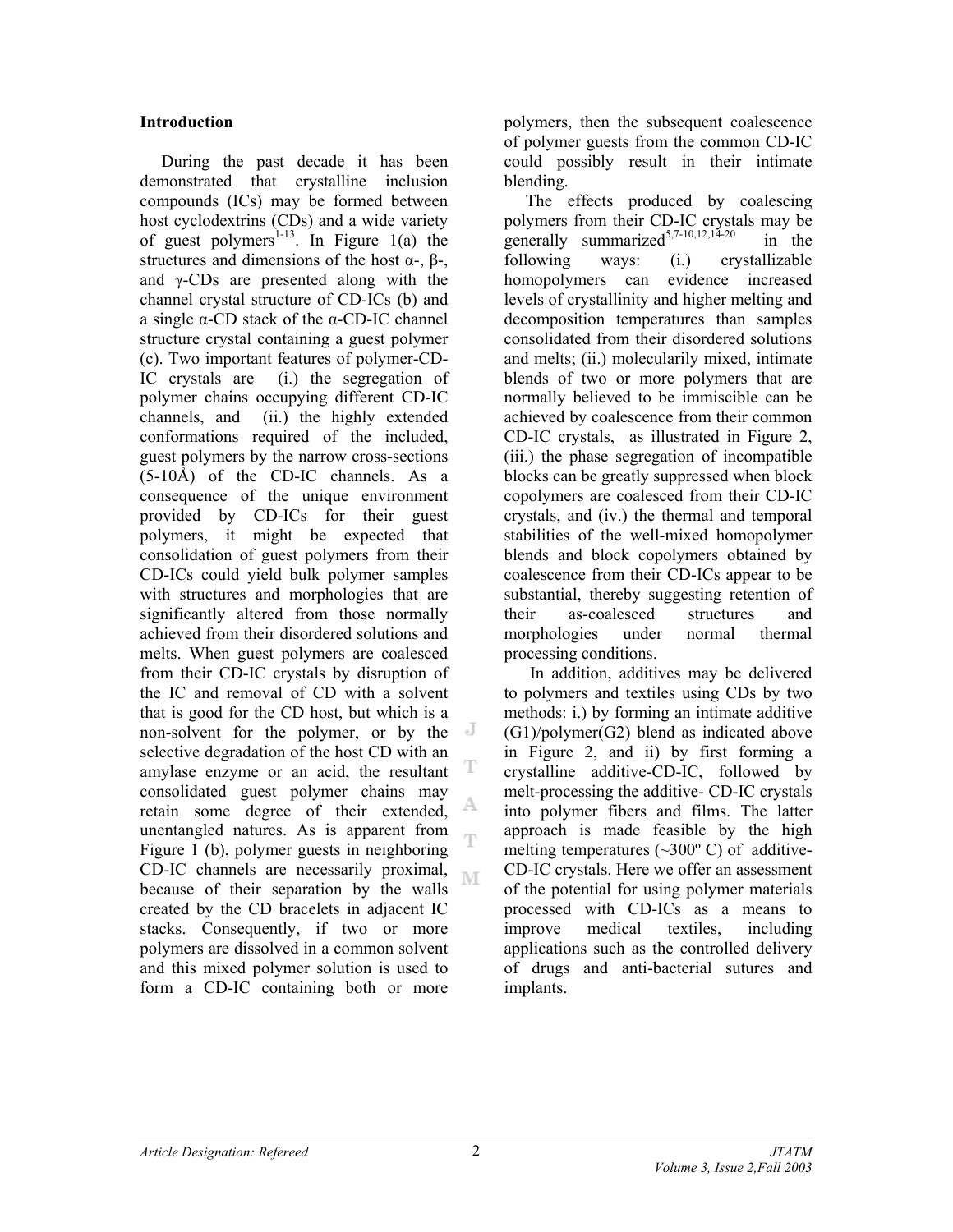### **Introduction**

 During the past decade it has been demonstrated that crystalline inclusion compounds (ICs) may be formed between host cyclodextrins (CDs) and a wide variety of guest polymers<sup>1-13</sup>. In Figure 1(a) the structures and dimensions of the host  $\alpha$ -,  $\beta$ -, and γ-CDs are presented along with the channel crystal structure of CD-ICs (b) and a single α-CD stack of the α-CD-IC channel structure crystal containing a guest polymer (c). Two important features of polymer-CD-IC crystals are (i.) the segregation of polymer chains occupying different CD-IC channels, and (ii.) the highly extended conformations required of the included, guest polymers by the narrow cross-sections (5-10Å) of the CD-IC channels. As a consequence of the unique environment provided by CD-ICs for their guest polymers, it might be expected that consolidation of guest polymers from their CD-ICs could yield bulk polymer samples with structures and morphologies that are significantly altered from those normally achieved from their disordered solutions and melts. When guest polymers are coalesced from their CD-IC crystals by disruption of the IC and removal of CD with a solvent that is good for the CD host, but which is a non-solvent for the polymer, or by the selective degradation of the host CD with an T amylase enzyme or an acid, the resultant consolidated guest polymer chains may A. retain some degree of their extended, unentangled natures. As is apparent from œ Figure 1 (b), polymer guests in neighboring CD-IC channels are necessarily proximal, M because of their separation by the walls created by the CD bracelets in adjacent IC stacks. Consequently, if two or more polymers are dissolved in a common solvent and this mixed polymer solution is used to form a CD-IC containing both or more

polymers, then the subsequent coalescence of polymer guests from the common CD-IC could possibly result in their intimate blending.

 The effects produced by coalescing polymers from their CD-IC crystals may be generally summarized<sup>5,7-10,12,14-20</sup> in the following ways: (i.) crystallizable homopolymers can evidence increased levels of crystallinity and higher melting and decomposition temperatures than samples consolidated from their disordered solutions and melts; (ii.) molecularily mixed, intimate blends of two or more polymers that are normally believed to be immiscible can be achieved by coalescence from their common CD-IC crystals, as illustrated in Figure 2, (iii.) the phase segregation of incompatible blocks can be greatly suppressed when block copolymers are coalesced from their CD-IC crystals, and (iv.) the thermal and temporal stabilities of the well-mixed homopolymer blends and block copolymers obtained by coalescence from their CD-ICs appear to be substantial, thereby suggesting retention of their as-coalesced structures and morphologies under normal thermal processing conditions.

 In addition, additives may be delivered to polymers and textiles using CDs by two methods: i.) by forming an intimate additive (G1)/polymer(G2) blend as indicated above in Figure 2, and ii) by first forming a crystalline additive-CD-IC, followed by melt-processing the additive- CD-IC crystals into polymer fibers and films. The latter approach is made feasible by the high melting temperatures  $(\sim 300^{\circ} \text{ C})$  of additive-CD-IC crystals. Here we offer an assessment of the potential for using polymer materials processed with CD-ICs as a means to improve medical textiles, including applications such as the controlled delivery of drugs and anti-bacterial sutures and implants.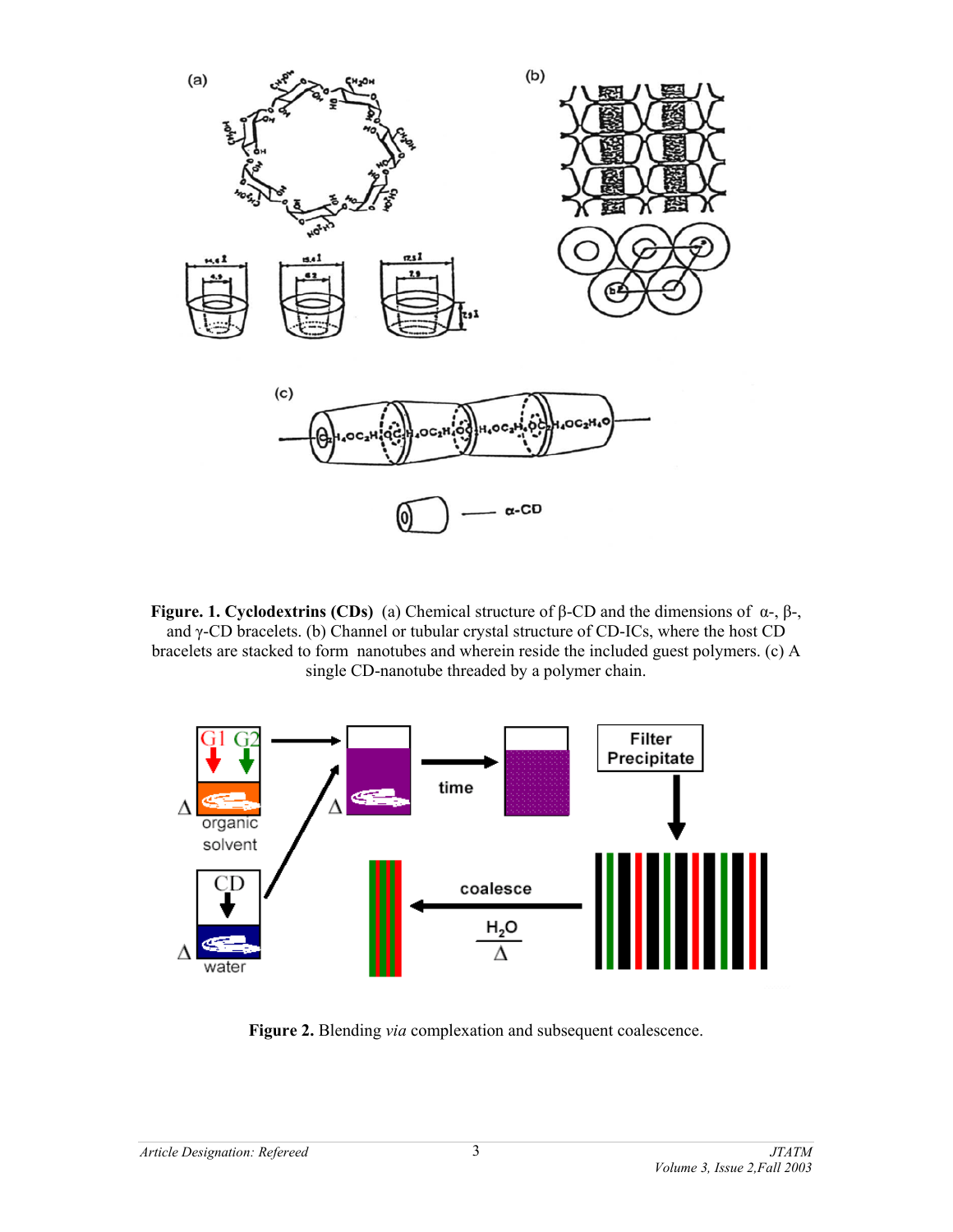

**Figure. 1. Cyclodextrins (CDs)** (a) Chemical structure of β-CD and the dimensions of α-, β-, and γ-CD bracelets. (b) Channel or tubular crystal structure of CD-ICs, where the host CD bracelets are stacked to form nanotubes and wherein reside the included guest polymers. (c) A single CD-nanotube threaded by a polymer chain.



**Figure 2.** Blending *via* complexation and subsequent coalescence.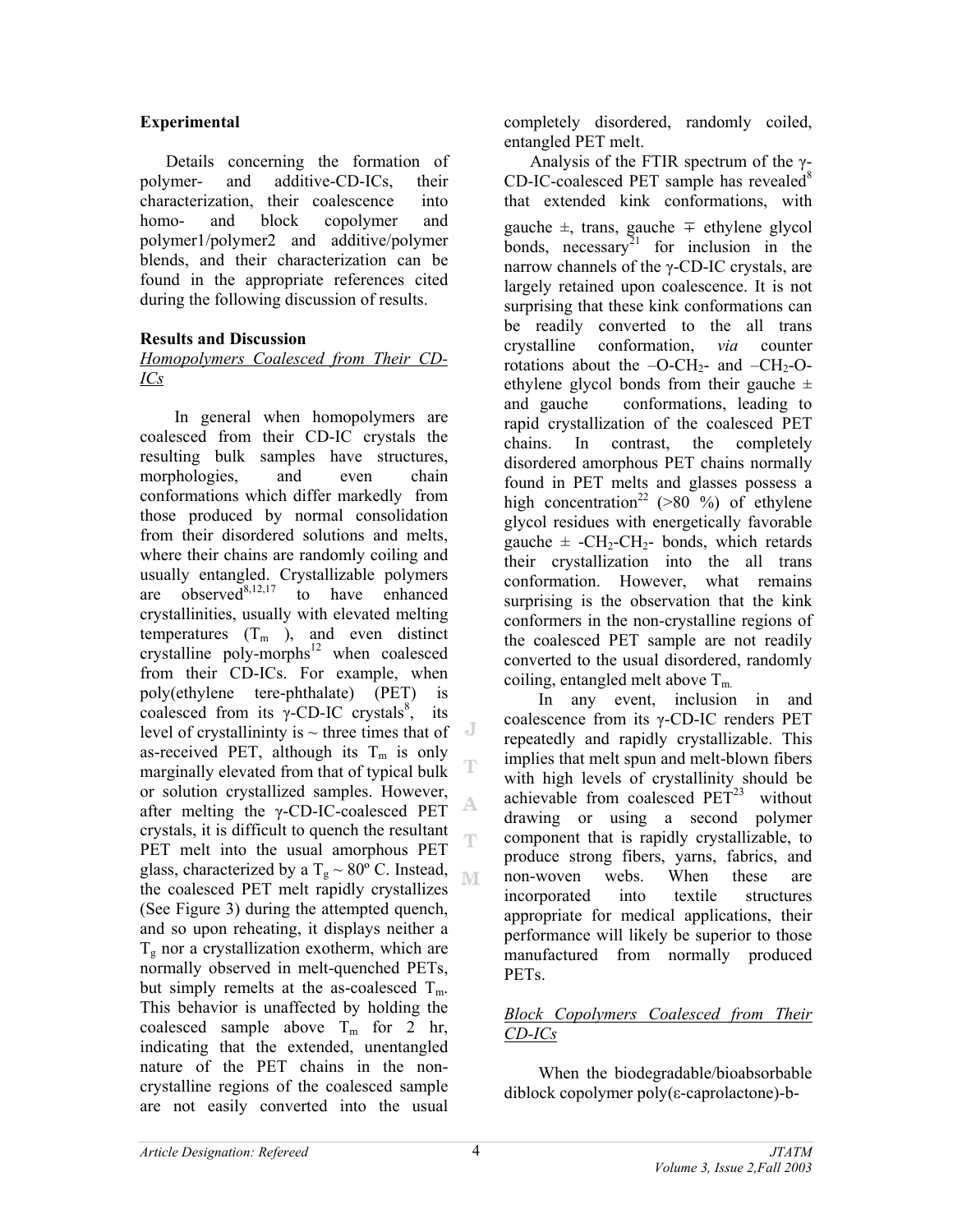# **Experimental**

Details concerning the formation of polymer- and additive-CD-ICs, their characterization, their coalescence into homo- and block copolymer and polymer1/polymer2 and additive/polymer blends, and their characterization can be found in the appropriate references cited during the following discussion of results.

# **Results and Discussion**

## *Homopolymers Coalesced from Their CD-ICs*

 In general when homopolymers are coalesced from their CD-IC crystals the resulting bulk samples have structures, morphologies, and even chain conformations which differ markedly from those produced by normal consolidation from their disordered solutions and melts, where their chains are randomly coiling and usually entangled. Crystallizable polymers are observed<sup>8,12,17</sup> to have enhanced crystallinities, usually with elevated melting temperatures  $(T_m)$ , and even distinct crystalline poly-morphs $12$  when coalesced from their CD-ICs. For example, when poly(ethylene tere-phthalate) (PET) is coalesced from its  $\gamma$ -CD-IC crystals<sup>8</sup>, its level of crystallininty is  $\sim$  three times that of as-received PET, although its  $T_m$  is only Т marginally elevated from that of typical bulk or solution crystallized samples. However, after melting the γ-CD-IC-coalesced PET crystals, it is difficult to quench the resultant Ť PET melt into the usual amorphous PET glass, characterized by a T<sub>g</sub>  $\sim$  80° C. Instead, NI the coalesced PET melt rapidly crystallizes (See Figure 3) during the attempted quench, and so upon reheating, it displays neither a  $T_{g}$  nor a crystallization exotherm, which are normally observed in melt-quenched PETs, but simply remelts at the as-coalesced  $T_m$ . This behavior is unaffected by holding the coalesced sample above  $T_m$  for 2 hr, indicating that the extended, unentangled nature of the PET chains in the noncrystalline regions of the coalesced sample are not easily converted into the usual

completely disordered, randomly coiled, entangled PET melt.

Analysis of the FTIR spectrum of the γ- $CD$ -IC-coalesced PET sample has revealed<sup>8</sup> that extended kink conformations, with gauche ±, trans, gauche ∓ ethylene glycol bonds, necessary<sup>21</sup> for inclusion in the narrow channels of the γ-CD-IC crystals, are largely retained upon coalescence. It is not surprising that these kink conformations can be readily converted to the all trans crystalline conformation, *via* counter rotations about the  $-O-CH_2$ - and  $-CH_2-O$ ethylene glycol bonds from their gauche  $\pm$ and gauche conformations, leading to rapid crystallization of the coalesced PET chains. In contrast, the completely disordered amorphous PET chains normally found in PET melts and glasses possess a high concentration<sup>22</sup> (>80 %) of ethylene glycol residues with energetically favorable gauche  $\pm$  -CH<sub>2</sub>-CH<sub>2</sub>- bonds, which retards their crystallization into the all trans conformation. However, what remains surprising is the observation that the kink conformers in the non-crystalline regions of the coalesced PET sample are not readily converted to the usual disordered, randomly coiling, entangled melt above  $T_m$ 

 In any event, inclusion in and coalescence from its γ-CD-IC renders PET repeatedly and rapidly crystallizable. This implies that melt spun and melt-blown fibers with high levels of crystallinity should be achievable from coalesced  $PET<sup>23</sup>$  without drawing or using a second polymer component that is rapidly crystallizable, to produce strong fibers, yarns, fabrics, and non-woven webs. When these are incorporated into textile structures appropriate for medical applications, their performance will likely be superior to those manufactured from normally produced PETs.

# *Block Copolymers Coalesced from Their CD-ICs*

 When the biodegradable/bioabsorbable diblock copolymer poly(ε-caprolactone)-b-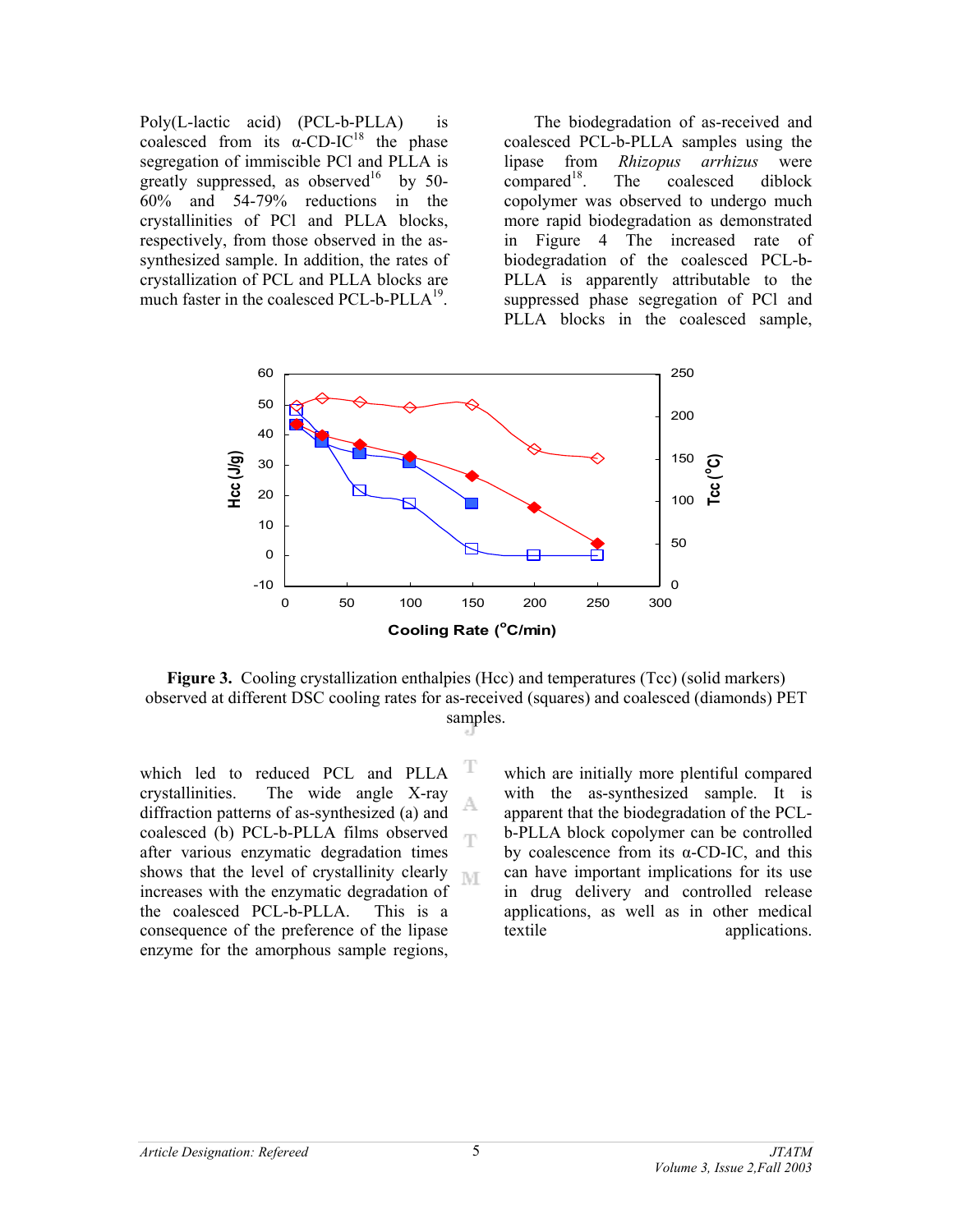Poly(L-lactic acid) (PCL-b-PLLA) is coalesced from its  $\alpha$ -CD-IC<sup>18</sup> the phase segregation of immiscible PCl and PLLA is greatly suppressed, as observed<sup>16</sup> by 50-60% and 54-79% reductions in the crystallinities of PCl and PLLA blocks, respectively, from those observed in the assynthesized sample. In addition, the rates of crystallization of PCL and PLLA blocks are much faster in the coalesced PCL-b-PLL $A^{19}$ .

 The biodegradation of as-received and coalesced PCL-b-PLLA samples using the lipase from *Rhizopus arrhizus* were  $compared<sup>18</sup>$ . The coalesced diblock copolymer was observed to undergo much more rapid biodegradation as demonstrated in Figure 4 The increased rate of biodegradation of the coalesced PCL-b-PLLA is apparently attributable to the suppressed phase segregation of PCl and PLLA blocks in the coalesced sample,



**Figure 3.** Cooling crystallization enthalpies (Hcc) and temperatures (Tcc) (solid markers) observed at different DSC cooling rates for as-received (squares) and coalesced (diamonds) PET samples.

T

which led to reduced PCL and PLLA crystallinities. The wide angle X-ray A diffraction patterns of as-synthesized (a) and coalesced (b) PCL-b-PLLA films observed œ after various enzymatic degradation times shows that the level of crystallinity clearly  $\mathbb{N} \cap \mathbb{F}$ increases with the enzymatic degradation of the coalesced PCL-b-PLLA. This is a consequence of the preference of the lipase enzyme for the amorphous sample regions,

which are initially more plentiful compared with the as-synthesized sample. It is apparent that the biodegradation of the PCLb-PLLA block copolymer can be controlled by coalescence from its  $\alpha$ -CD-IC, and this can have important implications for its use in drug delivery and controlled release applications, as well as in other medical textile applications.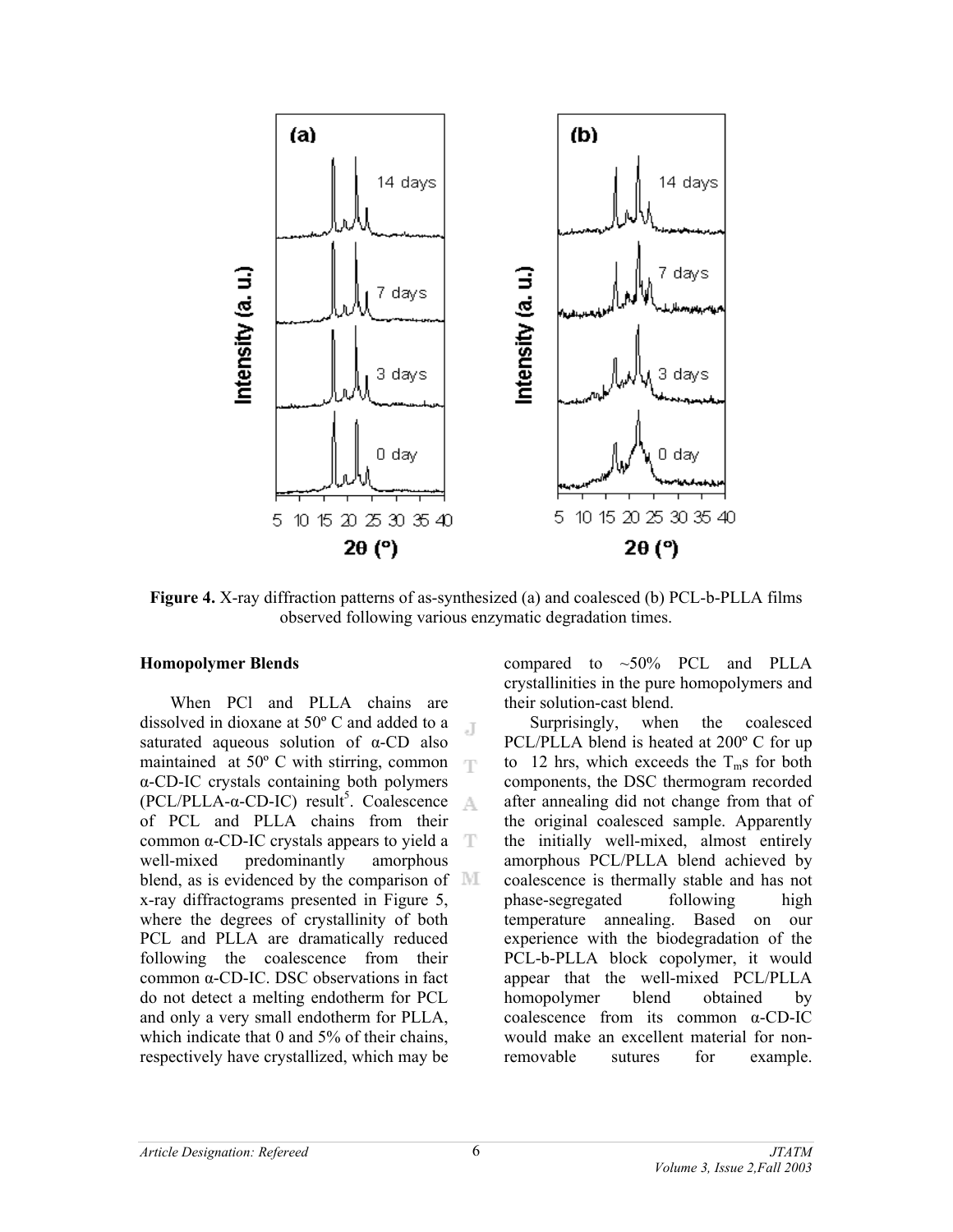

**Figure 4.** X-ray diffraction patterns of as-synthesized (a) and coalesced (b) PCL-b-PLLA films observed following various enzymatic degradation times.

#### **Homopolymer Blends**

 When PCl and PLLA chains are dissolved in dioxane at 50º C and added to a  $\mathbb{R}$ saturated aqueous solution of α-CD also maintained at  $50^{\circ}$  C with stirring, common α-CD-IC crystals containing both polymers (PCL/PLLA-α-CD-IC) result<sup>5</sup>. Coalescence of PCL and PLLA chains from their common  $α$ -CD-IC crystals appears to yield  $a$ well-mixed predominantly amorphous blend, as is evidenced by the comparison of  $\mathbb{M}$ x-ray diffractograms presented in Figure 5, where the degrees of crystallinity of both PCL and PLLA are dramatically reduced following the coalescence from their common α-CD-IC. DSC observations in fact do not detect a melting endotherm for PCL and only a very small endotherm for PLLA, which indicate that 0 and 5% of their chains, respectively have crystallized, which may be

compared to  $\sim$  50% PCL and PLLA crystallinities in the pure homopolymers and their solution-cast blend.

 Surprisingly, when the coalesced PCL/PLLA blend is heated at 200º C for up to 12 hrs, which exceeds the  $T_m$ s for both components, the DSC thermogram recorded after annealing did not change from that of the original coalesced sample. Apparently the initially well-mixed, almost entirely amorphous PCL/PLLA blend achieved by coalescence is thermally stable and has not phase-segregated following high temperature annealing. Based on our experience with the biodegradation of the PCL-b-PLLA block copolymer, it would appear that the well-mixed PCL/PLLA homopolymer blend obtained by coalescence from its common α-CD-IC would make an excellent material for nonremovable sutures for example.

6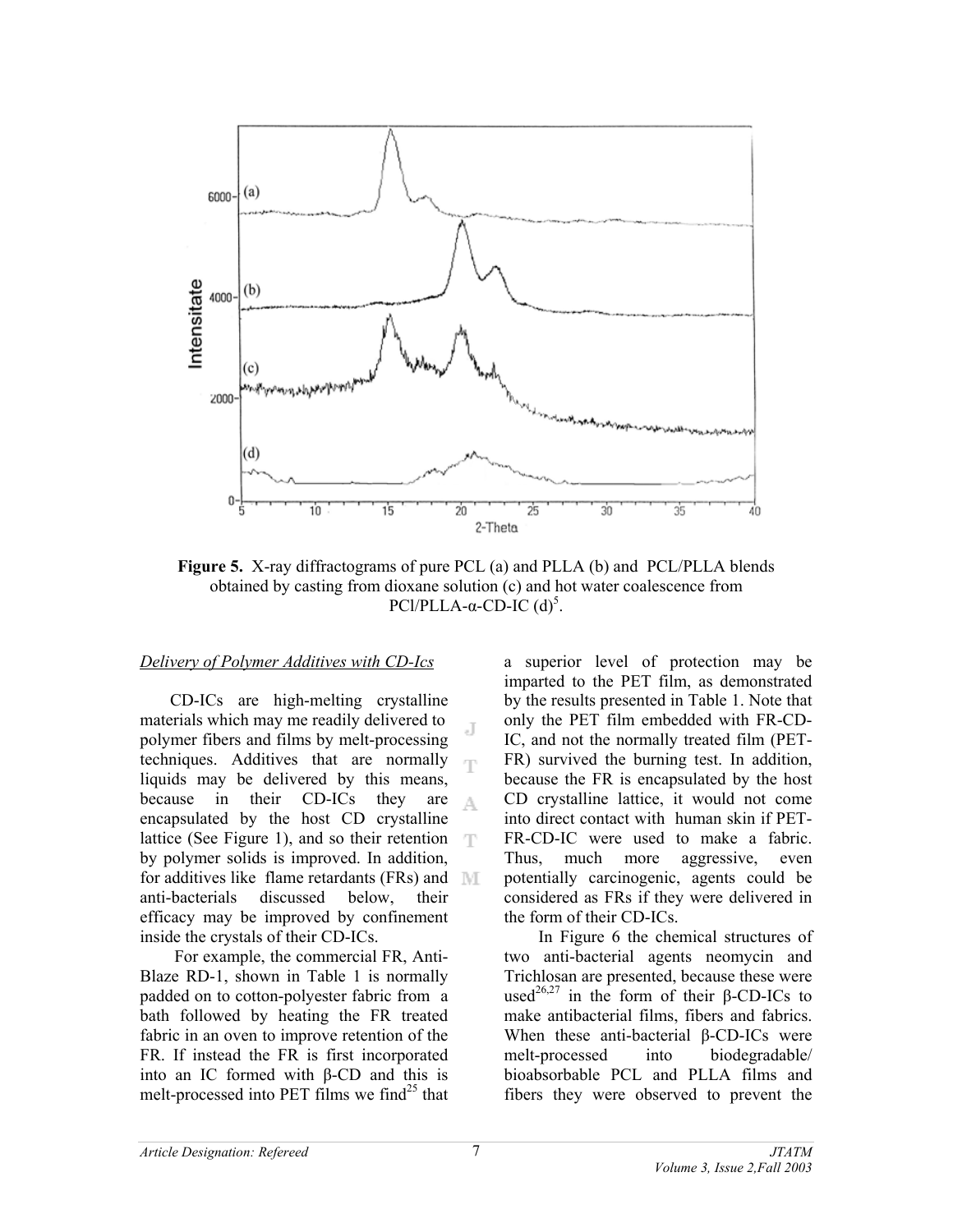

**Figure 5.** X-ray diffractograms of pure PCL (a) and PLLA (b) and PCL/PLLA blends obtained by casting from dioxane solution (c) and hot water coalescence from PCl/PLLA-α-CD-IC  $(d)^5$ .

#### *Delivery of Polymer Additives with CD-Ics*

 CD-ICs are high-melting crystalline materials which may me readily delivered to J polymer fibers and films by melt-processing techniques. Additives that are normally liquids may be delivered by this means, because in their CD-ICs they are A encapsulated by the host CD crystalline lattice (See Figure 1), and so their retention T by polymer solids is improved. In addition, for additives like flame retardants (FRs) and anti-bacterials discussed below, their efficacy may be improved by confinement inside the crystals of their CD-ICs.

 For example, the commercial FR, Anti-Blaze RD-1, shown in Table 1 is normally padded on to cotton-polyester fabric from a bath followed by heating the FR treated fabric in an oven to improve retention of the FR. If instead the FR is first incorporated into an IC formed with β-CD and this is melt-processed into PET films we find $^{25}$  that

a superior level of protection may be imparted to the PET film, as demonstrated by the results presented in Table 1. Note that only the PET film embedded with FR-CD-IC, and not the normally treated film (PET-FR) survived the burning test. In addition, because the FR is encapsulated by the host CD crystalline lattice, it would not come into direct contact with human skin if PET-FR-CD-IC were used to make a fabric. Thus, much more aggressive, even potentially carcinogenic, agents could be considered as FRs if they were delivered in the form of their CD-ICs.

 In Figure 6 the chemical structures of two anti-bacterial agents neomycin and Trichlosan are presented, because these were used<sup>26,27</sup> in the form of their β-CD-ICs to make antibacterial films, fibers and fabrics. When these anti-bacterial β-CD-ICs were melt-processed into biodegradable/ bioabsorbable PCL and PLLA films and fibers they were observed to prevent the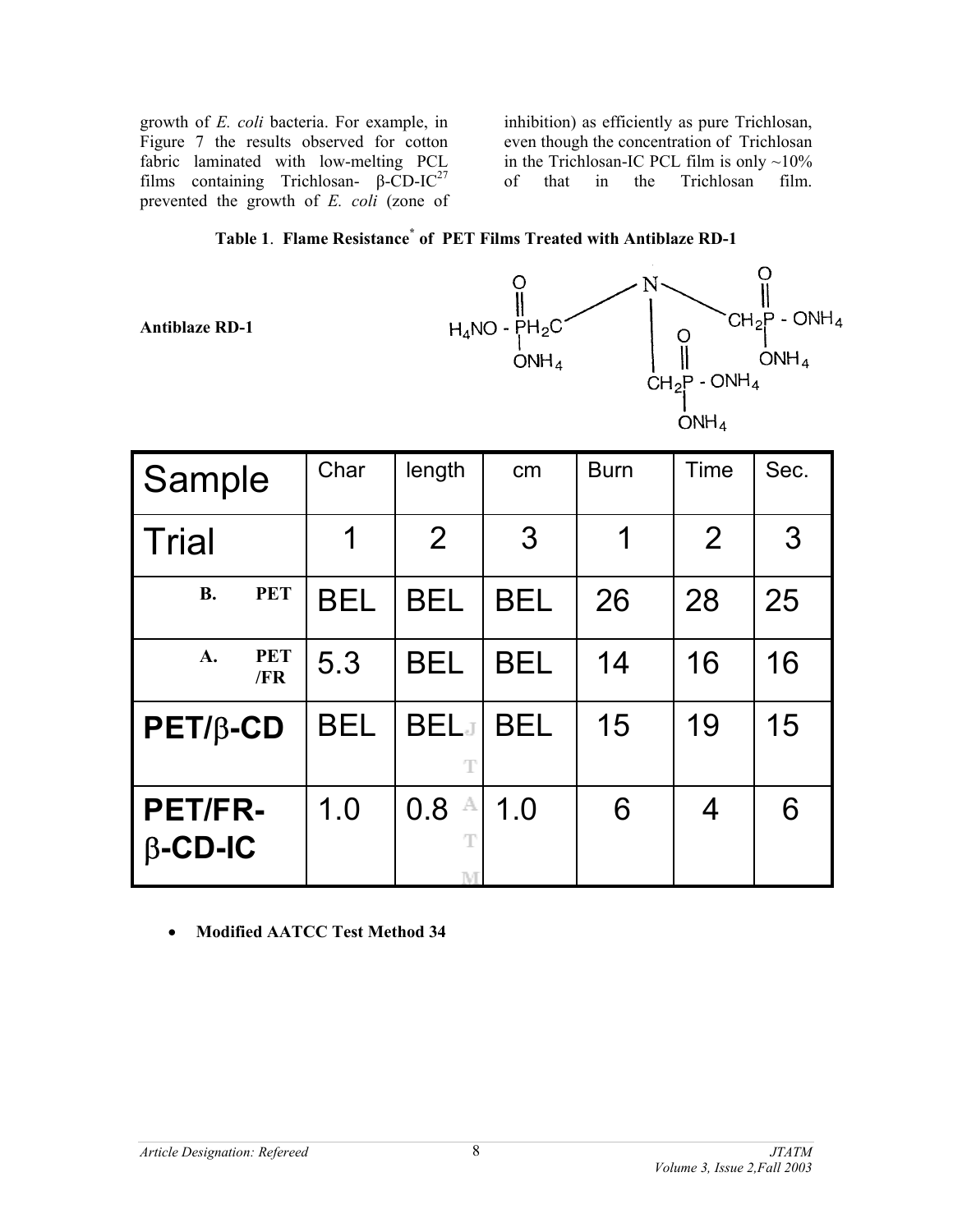growth of *E. coli* bacteria. For example, in Figure 7 the results observed for cotton fabric laminated with low-melting PCL films containing Trichlosan-  $β$ -CD-IC<sup>27</sup> prevented the growth of *E. coli* (zone of

inhibition) as efficiently as pure Trichlosan, even though the concentration of Trichlosan in the Trichlosan-IC PCL film is only  $\sim$ 10% of that in the Trichlosan film.

# **Table 1**. **Flame Resistance\* of PET Films Treated with Antiblaze RD-1**

**Antiblaze RD-1**



| Sample                           |                   | Char       | length              | cm            | <b>Burn</b> | Time | Sec. |
|----------------------------------|-------------------|------------|---------------------|---------------|-------------|------|------|
| <b>Trial</b>                     |                   | 1          | 2                   | $\mathcal{S}$ | 1           | 2    | 3    |
| <b>B.</b>                        | <b>PET</b>        | <b>BEL</b> | <b>BEL</b>          | <b>BEL</b>    | 26          | 28   | 25   |
| A.                               | <b>PET</b><br>/FR | 5.3        | <b>BEL</b>          | BEL           | 14          | 16   | 16   |
| $PET/\beta$ -CD                  |                   | <b>BEL</b> | <b>BELJ</b><br>T    | <b>BEL</b>    | 15          | 19   | 15   |
| <b>PET/FR-</b><br>$\beta$ -CD-IC |                   | 1.0        | 0.8<br>A<br>T<br>ΝE | 1.0           | 6           | 4    | 6    |

# • **Modified AATCC Test Method 34**

8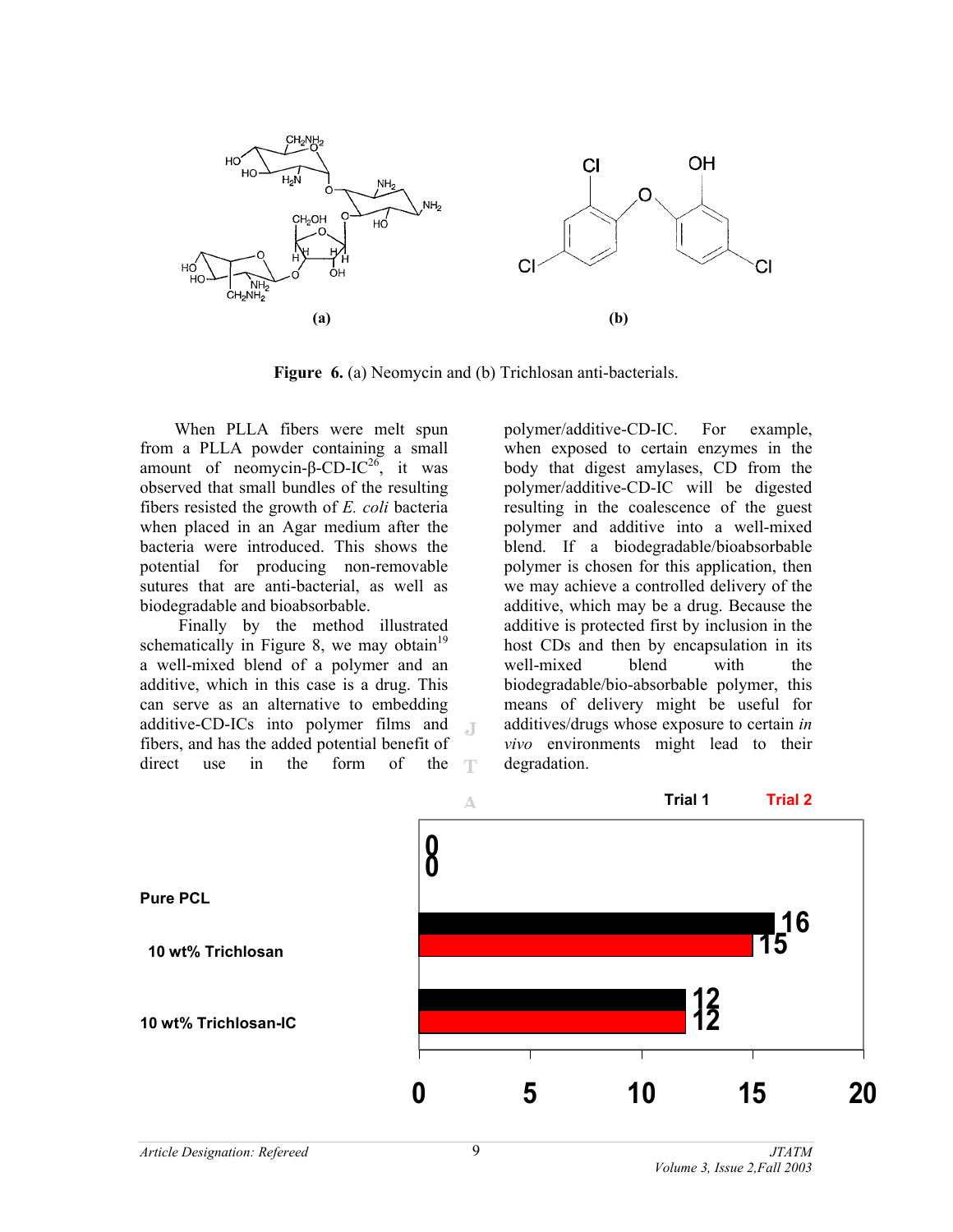

**Figure 6.** (a) Neomycin and (b) Trichlosan anti-bacterials.

 $\Box$ 

 When PLLA fibers were melt spun from a PLLA powder containing a small amount of neomycin-β-CD-IC<sup>26</sup>, it was observed that small bundles of the resulting fibers resisted the growth of *E. coli* bacteria when placed in an Agar medium after the bacteria were introduced. This shows the potential for producing non-removable sutures that are anti-bacterial, as well as biodegradable and bioabsorbable.

 Finally by the method illustrated schematically in Figure 8, we may obtain<sup>19</sup> a well-mixed blend of a polymer and an additive, which in this case is a drug. This can serve as an alternative to embedding additive-CD-ICs into polymer films and fibers, and has the added potential benefit of direct use in the form of the  $\top$  polymer/additive-CD-IC. For example, when exposed to certain enzymes in the body that digest amylases, CD from the polymer/additive-CD-IC will be digested resulting in the coalescence of the guest polymer and additive into a well-mixed blend. If a biodegradable/bioabsorbable polymer is chosen for this application, then we may achieve a controlled delivery of the additive, which may be a drug. Because the additive is protected first by inclusion in the host CDs and then by encapsulation in its well-mixed blend with the biodegradable/bio-absorbable polymer, this means of delivery might be useful for additives/drugs whose exposure to certain *in vivo* environments might lead to their degradation.

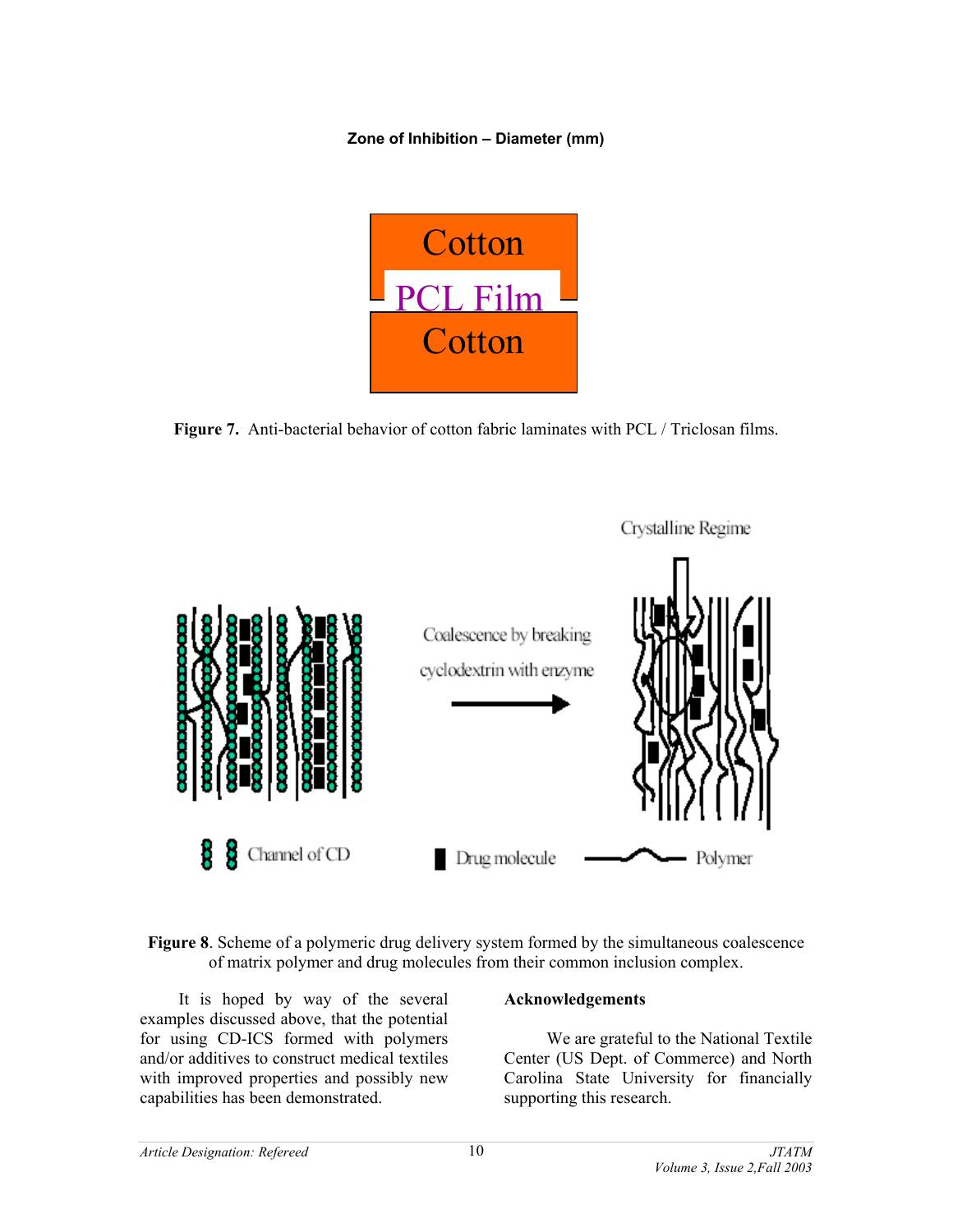**Zone of Inhibition – Diameter (mm)**



**Figure 7.** Anti-bacterial behavior of cotton fabric laminates with PCL / Triclosan films.



**Figure 8**. Scheme of a polymeric drug delivery system formed by the simultaneous coalescence of matrix polymer and drug molecules from their common inclusion complex.

 It is hoped by way of the several examples discussed above, that the potential for using CD-ICS formed with polymers and/or additives to construct medical textiles with improved properties and possibly new capabilities has been demonstrated.

# **Acknowledgements**

We are grateful to the National Textile Center (US Dept. of Commerce) and North Carolina State University for financially supporting this research.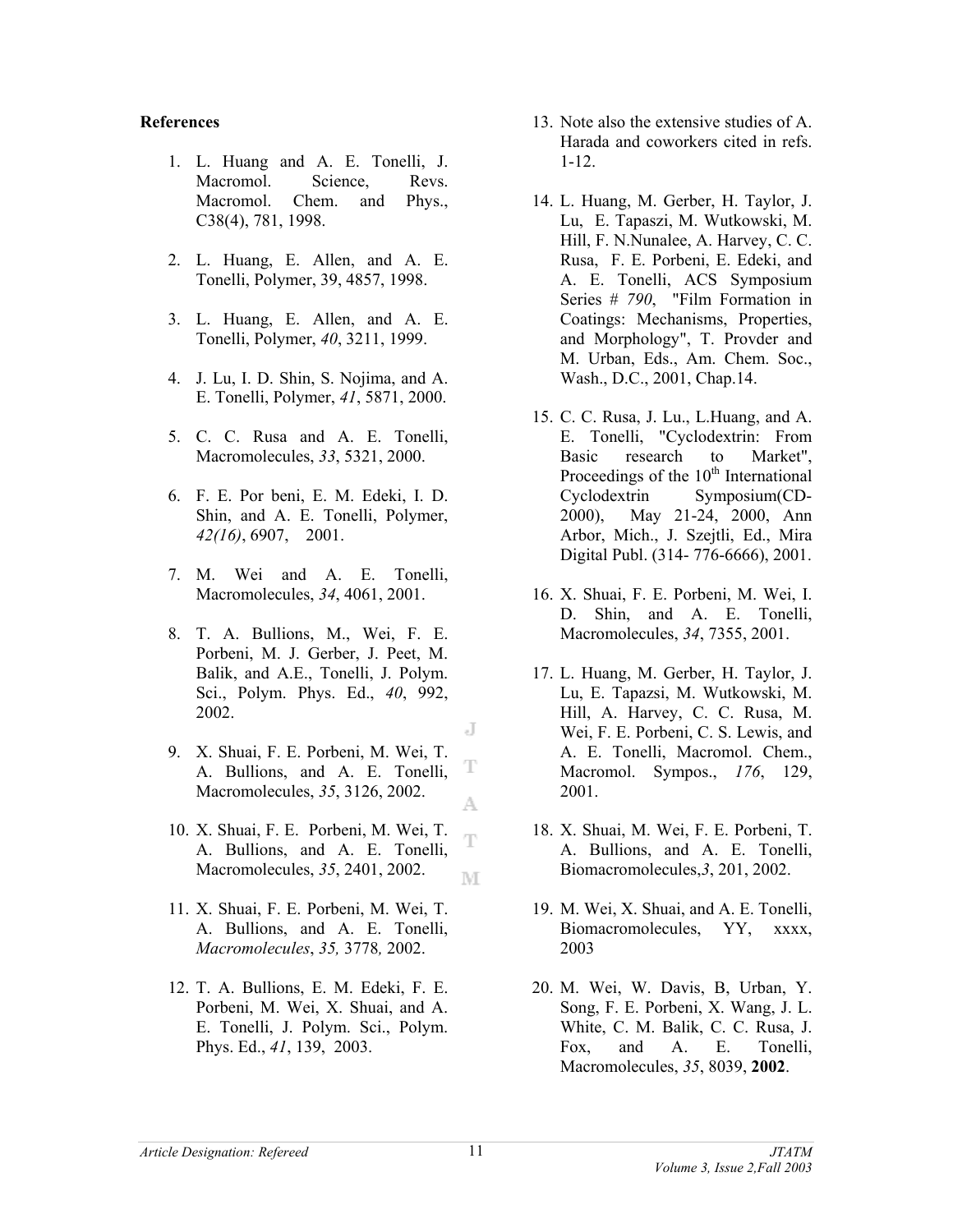#### **References**

- 1. L. Huang and A. E. Tonelli, J. Macromol. Science, Revs. Macromol. Chem. and Phys., C38(4), 781, 1998.
- 2. L. Huang, E. Allen, and A. E. Tonelli, Polymer, 39, 4857, 1998.
- 3. L. Huang, E. Allen, and A. E. Tonelli, Polymer, *40*, 3211, 1999.
- 4. J. Lu, I. D. Shin, S. Nojima, and A. E. Tonelli, Polymer, *41*, 5871, 2000.
- 5. C. C. Rusa and A. E. Tonelli, Macromolecules, *33*, 5321, 2000.
- 6. F. E. Por beni, E. M. Edeki, I. D. Shin, and A. E. Tonelli, Polymer, *42(16)*, 6907, 2001.
- 7. M. Wei and A. E. Tonelli, Macromolecules, *34*, 4061, 2001.
- 8. T. A. Bullions, M., Wei, F. E. Porbeni, M. J. Gerber, J. Peet, M. Balik, and A.E., Tonelli, J. Polym. Sci., Polym. Phys. Ed., *40*, 992, 2002.
- 9. X. Shuai, F. E. Porbeni, M. Wei, T. A. Bullions, and A. E. Tonelli, Macromolecules, *35*, 3126, 2002.
- 10. X. Shuai, F. E. Porbeni, M. Wei, T. A. Bullions, and A. E. Tonelli, Macromolecules, *35*, 2401, 2002. M
- 11. X. Shuai, F. E. Porbeni, M. Wei, T. A. Bullions, and A. E. Tonelli, *Macromolecules*, *35,* 3778*,* 2002.
- 12. T. A. Bullions, E. M. Edeki, F. E. Porbeni, M. Wei, X. Shuai, and A. E. Tonelli, J. Polym. Sci., Polym. Phys. Ed., *41*, 139, 2003.
- 13. Note also the extensive studies of A. Harada and coworkers cited in refs. 1-12.
- 14. L. Huang, M. Gerber, H. Taylor, J. Lu, E. Tapaszi, M. Wutkowski, M. Hill, F. N.Nunalee, A. Harvey, C. C. Rusa, F. E. Porbeni, E. Edeki, and A. E. Tonelli, ACS Symposium Series # *790*, "Film Formation in Coatings: Mechanisms, Properties, and Morphology", T. Provder and M. Urban, Eds., Am. Chem. Soc., Wash., D.C., 2001, Chap.14.
- 15. C. C. Rusa, J. Lu., L.Huang, and A. E. Tonelli, "Cyclodextrin: From Basic research to Market", Proceedings of the  $10<sup>th</sup>$  International Cyclodextrin Symposium(CD-2000), May 21-24, 2000, Ann Arbor, Mich., J. Szejtli, Ed., Mira Digital Publ. (314- 776-6666), 2001.
- 16. X. Shuai, F. E. Porbeni, M. Wei, I. D. Shin, and A. E. Tonelli, Macromolecules, *34*, 7355, 2001.
- 17. L. Huang, M. Gerber, H. Taylor, J. Lu, E. Tapazsi, M. Wutkowski, M. Hill, A. Harvey, C. C. Rusa, M. Wei, F. E. Porbeni, C. S. Lewis, and A. E. Tonelli, Macromol. Chem., Macromol. Sympos., *176*, 129, 2001.
- 18. X. Shuai, M. Wei, F. E. Porbeni, T. A. Bullions, and A. E. Tonelli, Biomacromolecules,*3*, 201, 2002.
- 19. M. Wei, X. Shuai, and A. E. Tonelli, Biomacromolecules, YY, xxxx, 2003
- 20. M. Wei, W. Davis, B, Urban, Y. Song, F. E. Porbeni, X. Wang, J. L. White, C. M. Balik, C. C. Rusa, J. Fox, and A. E. Tonelli, Macromolecules, *35*, 8039, **2002**.

J

T

A

Ŧ